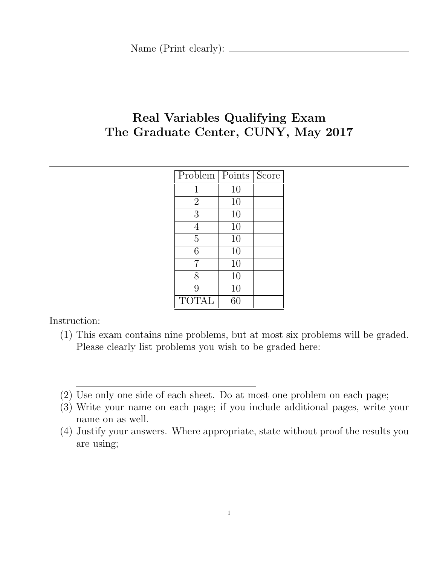# Real Variables Qualifying Exam The Graduate Center, CUNY, May 2017

| Problem        | Points | Score |
|----------------|--------|-------|
| 1              | 10     |       |
| $\overline{2}$ | 10     |       |
| 3              | 10     |       |
| 4              | 10     |       |
| $\overline{5}$ | 10     |       |
| 6              | 10     |       |
| 7              | 10     |       |
| 8              | 10     |       |
| 9              | 10     |       |
| TOTAL          | 60     |       |

Instruction:

- (1) This exam contains nine problems, but at most six problems will be graded. Please clearly list problems you wish to be graded here:
- (2) Use only one side of each sheet. Do at most one problem on each page;
- (3) Write your name on each page; if you include additional pages, write your name on as well.
- (4) Justify your answers. Where appropriate, state without proof the results you are using;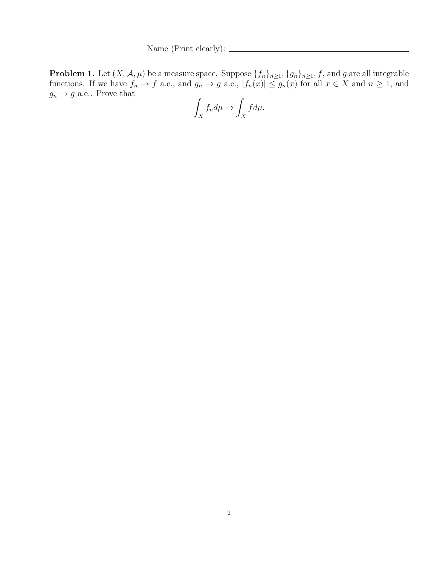Name (Print clearly):  $\frac{1}{\sqrt{1-\frac{1}{2}}\cdot\sqrt{1-\frac{1}{2}}\cdot\sqrt{1-\frac{1}{2}}\cdot\sqrt{1-\frac{1}{2}}\cdot\sqrt{1-\frac{1}{2}}\cdot\sqrt{1-\frac{1}{2}}\cdot\sqrt{1-\frac{1}{2}}\cdot\sqrt{1-\frac{1}{2}}\cdot\sqrt{1-\frac{1}{2}}\cdot\sqrt{1-\frac{1}{2}}\cdot\sqrt{1-\frac{1}{2}}\cdot\sqrt{1-\frac{1}{2}}\cdot\sqrt{1-\frac{1}{2}}\cdot\sqrt{1-\frac{1}{2}}\cdot\sqrt{1-\frac{1}{2}}\$ 

**Problem 1.** Let  $(X, \mathcal{A}, \mu)$  be a measure space. Suppose  $\{f_n\}_{n\geq 1}, \{g_n\}_{n\geq 1}, f$ , and  $g$  are all integrable functions. If we have  $f_n \to f$  a.e., and  $g_n \to g$  a.e.,  $|f_n(x)| \le g_n(x)$  for all  $x \in X$  and  $n \ge 1$ , and  $g_n \to g$  a.e.. Prove that

$$
\int_X f_n d\mu \to \int_X f d\mu.
$$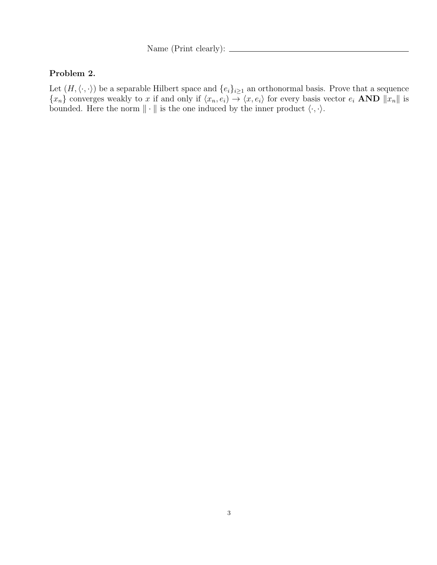Name (Print clearly):  $\_\_$ 

#### Problem 2.

Let  $(H, \langle \cdot, \cdot \rangle)$  be a separable Hilbert space and  $\{e_i\}_{i\geq 1}$  an orthonormal basis. Prove that a sequence  ${x_n}$  converges weakly to x if and only if  $\langle x_n, e_i \rangle \rightarrow \langle x, e_i \rangle$  for every basis vector  $e_i$  AND  $||x_n||$  is bounded. Here the norm  $\|\cdot\|$  is the one induced by the inner product  $\langle \cdot, \cdot \rangle$ .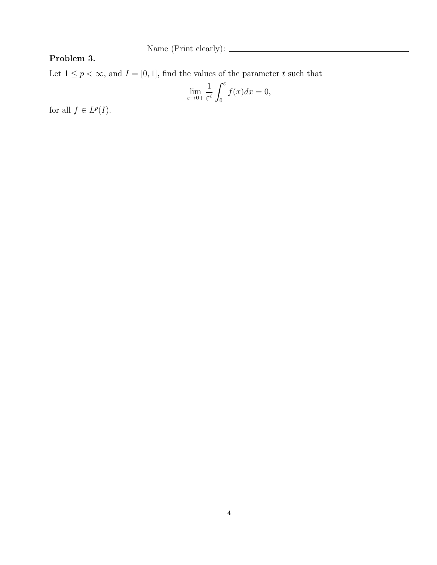Name (Print clearly): <br>  $\hfill\blacksquare$ 

## Problem 3.

Let  $1\leq p<\infty,$  and  $I=[0,1],$  find the values of the parameter  $t$  such that

$$
\lim_{\varepsilon \to 0+} \frac{1}{\varepsilon^t} \int_0^\varepsilon f(x) dx = 0,
$$

for all  $f \in L^p(I)$ .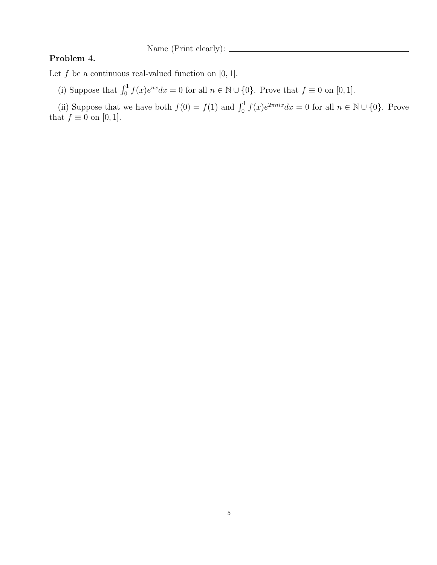Name (Print clearly):  $\frac{1}{\sqrt{2\pi}}$ 

#### Problem 4.

Let  $f$  be a continuous real-valued function on  $[0, 1]$ .

(i) Suppose that  $\int_0^1 f(x)e^{nx}dx = 0$  for all  $n \in \mathbb{N} \cup \{0\}$ . Prove that  $f \equiv 0$  on  $[0, 1]$ .

(ii) Suppose that we have both  $f(0) = f(1)$  and  $\int_0^1 f(x)e^{2\pi n i x} dx = 0$  for all  $n \in \mathbb{N} \cup \{0\}$ . Prove that  $f \equiv 0$  on [0, 1].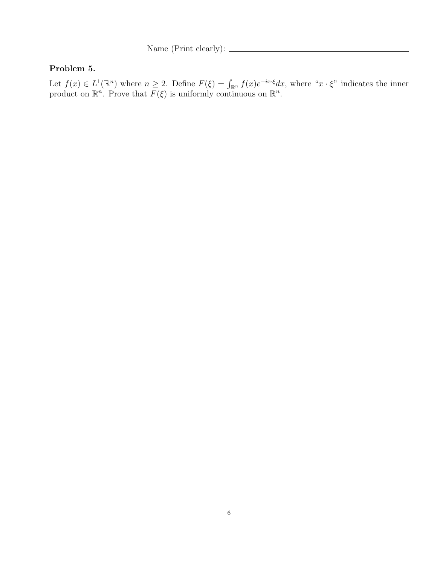Name (Print clearly):

### Problem 5.

Let  $f(x) \in L^1(\mathbb{R}^n)$  where  $n \geq 2$ . Define  $F(\xi) = \int_{\mathbb{R}^n} f(x)e^{-ix\cdot\xi} dx$ , where " $x \cdot \xi$ " indicates the inner product on  $\mathbb{R}^n$ . Prove that  $F(\xi)$  is uniformly continuous on  $\mathbb{R}^n$ .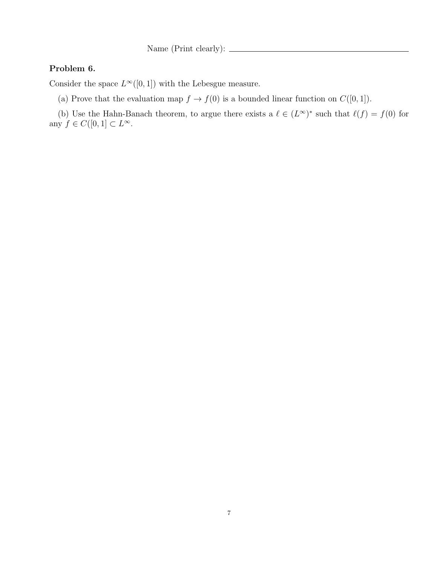Name (Print clearly):  $\_\_$ 

## Problem 6.

Consider the space  $L^{\infty}([0,1])$  with the Lebesgue measure.

(a) Prove that the evaluation map  $f \to f(0)$  is a bounded linear function on  $C([0, 1])$ .

(b) Use the Hahn-Banach theorem, to argue there exists a  $\ell \in (L^{\infty})^*$  such that  $\ell(f) = f(0)$  for any  $f \in C([0,1] \subset L^{\infty})$ .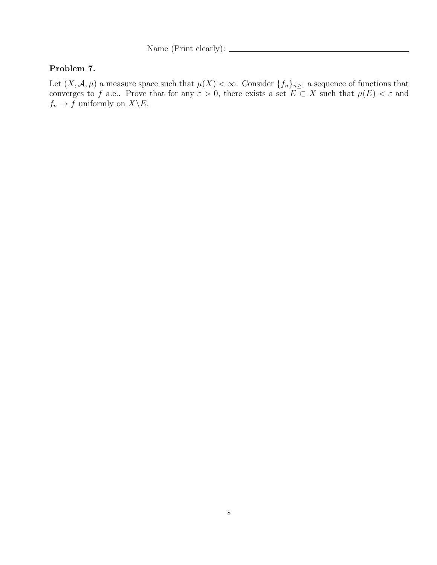Name (Print clearly):  $\frac{1}{\sqrt{1-\frac{1}{2}}\cdot\sqrt{1-\frac{1}{2}}\cdot\sqrt{1-\frac{1}{2}}\cdot\sqrt{1-\frac{1}{2}}\cdot\sqrt{1-\frac{1}{2}}\cdot\sqrt{1-\frac{1}{2}}\cdot\sqrt{1-\frac{1}{2}}\cdot\sqrt{1-\frac{1}{2}}\cdot\sqrt{1-\frac{1}{2}}\cdot\sqrt{1-\frac{1}{2}}\cdot\sqrt{1-\frac{1}{2}}\cdot\sqrt{1-\frac{1}{2}}\cdot\sqrt{1-\frac{1}{2}}\cdot\sqrt{1-\frac{1}{2}}\cdot\sqrt{1-\frac{1}{2}}\$ 

## Problem 7.

Let  $(X, \mathcal{A}, \mu)$  a measure space such that  $\mu(X) < \infty$ . Consider  $\{f_n\}_{n\geq 1}$  a sequence of functions that converges to f a.e.. Prove that for any  $\varepsilon > 0$ , there exists a set  $E \subset X$  such that  $\mu(E) < \varepsilon$  and  $f_n \to f$  uniformly on  $X \backslash E$ .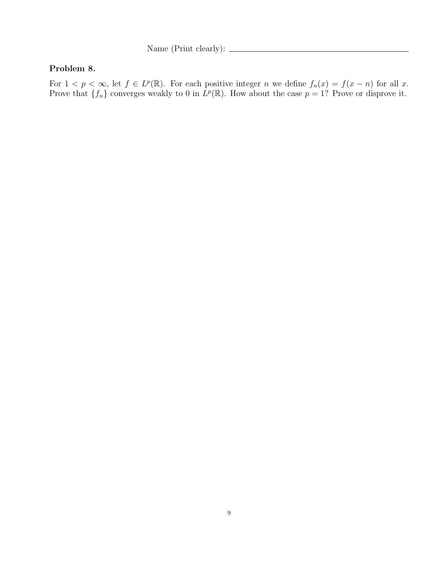Name (Print clearly):  $\frac{1}{\sqrt{1-\frac{1}{2}}\cdot\sqrt{1-\frac{1}{2}}\cdot\sqrt{1-\frac{1}{2}}\cdot\sqrt{1-\frac{1}{2}}\cdot\sqrt{1-\frac{1}{2}}\cdot\sqrt{1-\frac{1}{2}}\cdot\sqrt{1-\frac{1}{2}}\cdot\sqrt{1-\frac{1}{2}}\cdot\sqrt{1-\frac{1}{2}}\cdot\sqrt{1-\frac{1}{2}}\cdot\sqrt{1-\frac{1}{2}}\cdot\sqrt{1-\frac{1}{2}}\cdot\sqrt{1-\frac{1}{2}}\cdot\sqrt{1-\frac{1}{2}}\cdot\sqrt{1-\frac{1}{2}}\$ 

## Problem 8.

For  $1 < p < \infty$ , let  $f \in L^p(\mathbb{R})$ . For each positive integer n we define  $f_n(x) = f(x - n)$  for all x. Prove that  $\{f_n\}$  converges weakly to 0 in  $L^p(\mathbb{R})$ . How about the case  $p = 1$ ? Prove or disprove it.